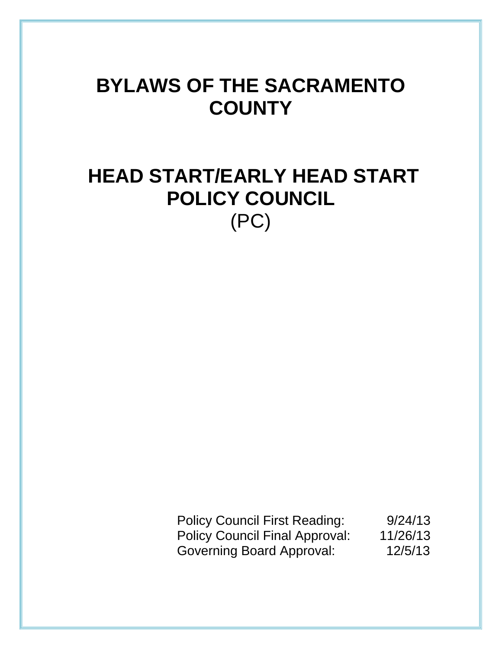# **BYLAWS OF THE SACRAMENTO COUNTY**

# **HEAD START/EARLY HEAD START POLICY COUNCIL**  (PC)

Policy Council First Reading: 9/24/13 Policy Council Final Approval: 11/26/13 Governing Board Approval: 12/5/13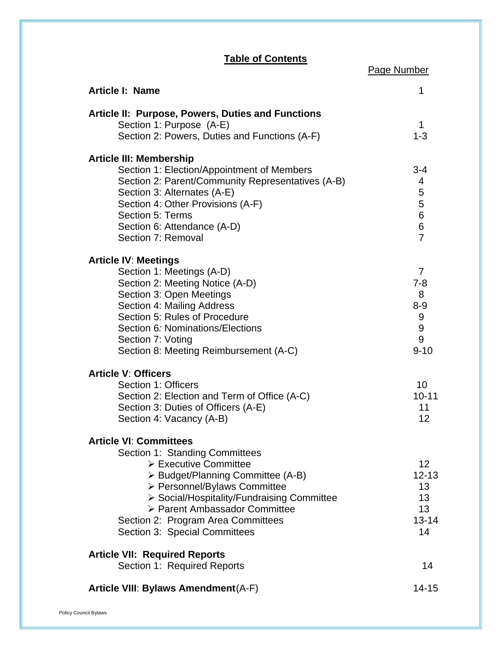## **Table of Contents**

Page Number

| <b>Article I: Name</b>                                                        | 1                         |
|-------------------------------------------------------------------------------|---------------------------|
| Article II: Purpose, Powers, Duties and Functions<br>Section 1: Purpose (A-E) | 1                         |
| Section 2: Powers, Duties and Functions (A-F)                                 | $1 - 3$                   |
| <b>Article III: Membership</b>                                                |                           |
| Section 1: Election/Appointment of Members                                    | $3 - 4$                   |
| Section 2: Parent/Community Representatives (A-B)                             | 4                         |
| Section 3: Alternates (A-E)                                                   | 5                         |
| Section 4: Other Provisions (A-F)                                             | 5<br>$\,6$                |
| Section 5: Terms<br>Section 6: Attendance (A-D)                               | 6                         |
| Section 7: Removal                                                            | $\overline{7}$            |
|                                                                               |                           |
| <b>Article IV: Meetings</b>                                                   |                           |
| Section 1: Meetings (A-D)<br>Section 2: Meeting Notice (A-D)                  | $\overline{7}$<br>$7 - 8$ |
| Section 3: Open Meetings                                                      | 8                         |
| Section 4: Mailing Address                                                    | $8-9$                     |
| Section 5: Rules of Procedure                                                 | 9                         |
| Section 6: Nominations/Elections                                              | $\boldsymbol{9}$          |
| Section 7: Voting                                                             | 9                         |
| Section 8: Meeting Reimbursement (A-C)                                        | $9 - 10$                  |
| <b>Article V: Officers</b>                                                    |                           |
| Section 1: Officers                                                           | 10 <sup>1</sup>           |
| Section 2: Election and Term of Office (A-C)                                  | $10 - 11$                 |
| Section 3: Duties of Officers (A-E)                                           | 11                        |
| Section 4: Vacancy (A-B)                                                      | 12                        |
| <b>Article VI: Committees</b>                                                 |                           |
| Section 1: Standing Committees                                                |                           |
| > Executive Committee                                                         | 12                        |
| > Budget/Planning Committee (A-B)                                             | $12 - 13$                 |
| > Personnel/Bylaws Committee                                                  | 13                        |
| > Social/Hospitality/Fundraising Committee                                    | 13                        |
| > Parent Ambassador Committee                                                 | 13                        |
| Section 2: Program Area Committees<br>Section 3: Special Committees           | $13 - 14$<br>14           |
|                                                                               |                           |
| <b>Article VII: Required Reports</b>                                          |                           |
| Section 1: Required Reports                                                   | 14                        |
| Article VIII: Bylaws Amendment (A-F)                                          | $14 - 15$                 |
|                                                                               |                           |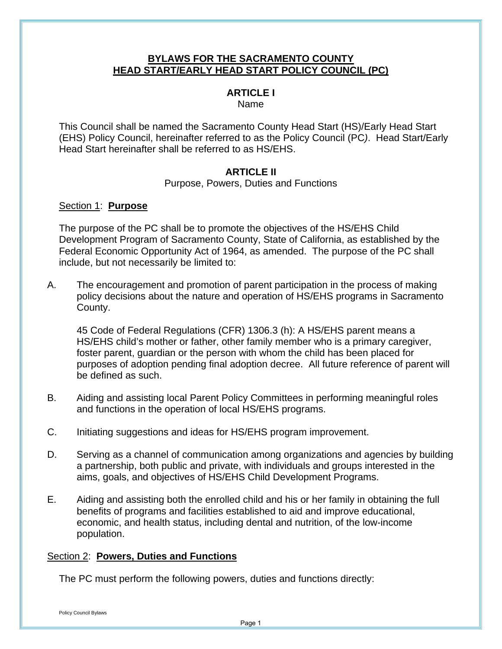## **BYLAWS FOR THE SACRAMENTO COUNTY HEAD START/EARLY HEAD START POLICY COUNCIL (PC)**

# **ARTICLE I**

Name

This Council shall be named the Sacramento County Head Start (HS)/Early Head Start (EHS) Policy Council, hereinafter referred to as the Policy Council (PC*)*. Head Start/Early Head Start hereinafter shall be referred to as HS/EHS.

## **ARTICLE II**

Purpose, Powers, Duties and Functions

## Section 1: **Purpose**

The purpose of the PC shall be to promote the objectives of the HS/EHS Child Development Program of Sacramento County, State of California, as established by the Federal Economic Opportunity Act of 1964, as amended. The purpose of the PC shall include, but not necessarily be limited to:

A. The encouragement and promotion of parent participation in the process of making policy decisions about the nature and operation of HS/EHS programs in Sacramento County.

45 Code of Federal Regulations (CFR) 1306.3 (h): A HS/EHS parent means a HS/EHS child's mother or father, other family member who is a primary caregiver, foster parent, guardian or the person with whom the child has been placed for purposes of adoption pending final adoption decree. All future reference of parent will be defined as such.

- B. Aiding and assisting local Parent Policy Committees in performing meaningful roles and functions in the operation of local HS/EHS programs.
- C. Initiating suggestions and ideas for HS/EHS program improvement.
- D. Serving as a channel of communication among organizations and agencies by building a partnership, both public and private, with individuals and groups interested in the aims, goals, and objectives of HS/EHS Child Development Programs.
- E. Aiding and assisting both the enrolled child and his or her family in obtaining the full benefits of programs and facilities established to aid and improve educational, economic, and health status, including dental and nutrition, of the low-income population.

## Section 2: **Powers, Duties and Functions**

The PC must perform the following powers, duties and functions directly: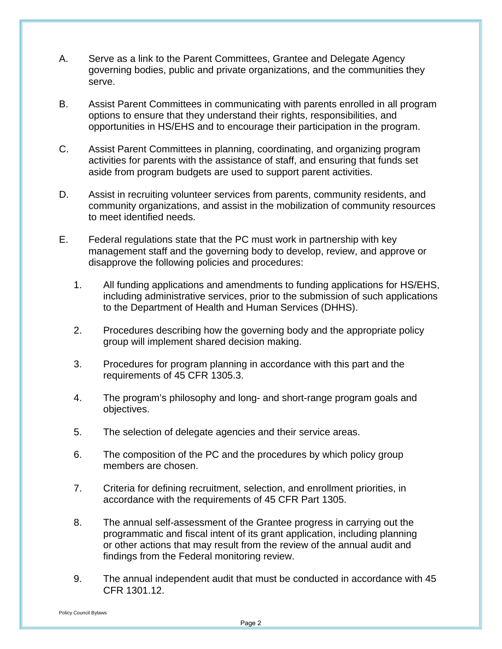- A. Serve as a link to the Parent Committees, Grantee and Delegate Agency governing bodies, public and private organizations, and the communities they serve.
- B. Assist Parent Committees in communicating with parents enrolled in all program options to ensure that they understand their rights, responsibilities, and opportunities in HS/EHS and to encourage their participation in the program.
- C. Assist Parent Committees in planning, coordinating, and organizing program activities for parents with the assistance of staff, and ensuring that funds set aside from program budgets are used to support parent activities.
- D. Assist in recruiting volunteer services from parents, community residents, and community organizations, and assist in the mobilization of community resources to meet identified needs.
- E. Federal regulations state that the PC must work in partnership with key management staff and the governing body to develop, review, and approve or disapprove the following policies and procedures:
	- 1. All funding applications and amendments to funding applications for HS/EHS, including administrative services, prior to the submission of such applications to the Department of Health and Human Services (DHHS).
	- 2. Procedures describing how the governing body and the appropriate policy group will implement shared decision making.
	- 3. Procedures for program planning in accordance with this part and the requirements of 45 CFR 1305.3.
	- 4. The program's philosophy and long- and short-range program goals and objectives.
	- 5. The selection of delegate agencies and their service areas.
	- 6. The composition of the PC and the procedures by which policy group members are chosen.
	- 7. Criteria for defining recruitment, selection, and enrollment priorities, in accordance with the requirements of 45 CFR Part 1305.
	- 8. The annual self-assessment of the Grantee progress in carrying out the programmatic and fiscal intent of its grant application, including planning or other actions that may result from the review of the annual audit and findings from the Federal monitoring review.
	- 9. The annual independent audit that must be conducted in accordance with 45 CFR 1301.12.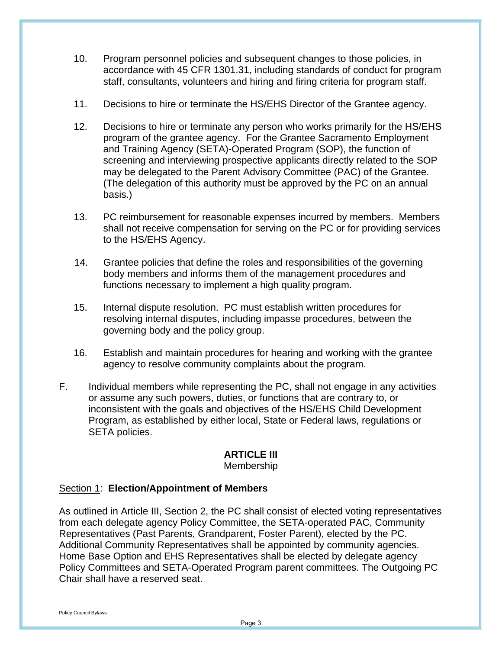- 10. Program personnel policies and subsequent changes to those policies, in accordance with 45 CFR 1301.31, including standards of conduct for program staff, consultants, volunteers and hiring and firing criteria for program staff.
- 11. Decisions to hire or terminate the HS/EHS Director of the Grantee agency.
- 12. Decisions to hire or terminate any person who works primarily for the HS/EHS program of the grantee agency. For the Grantee Sacramento Employment and Training Agency (SETA)-Operated Program (SOP), the function of screening and interviewing prospective applicants directly related to the SOP may be delegated to the Parent Advisory Committee (PAC) of the Grantee. (The delegation of this authority must be approved by the PC on an annual basis.)
- 13. PC reimbursement for reasonable expenses incurred by members. Members shall not receive compensation for serving on the PC or for providing services to the HS/EHS Agency.
- 14. Grantee policies that define the roles and responsibilities of the governing body members and inform*s* them of the management procedures and functions necessary to implement a high quality program.
- 15. Internal dispute resolution. PC must establish written procedures for resolving internal disputes, including impasse procedures, between the governing body and the policy group.
- 16. Establish and maintain procedures for hearing and working with the grantee agency to resolve community complaints about the program.
- F. Individual members while representing the PC, shall not engage in any activities or assume any such powers, duties, or functions that are contrary to, or inconsistent with the goals and objectives of the HS/EHS Child Development Program, as established by either local, State or Federal laws, regulations or SETA policies.

## **ARTICLE III**

#### Membership

## Section 1: **Election/Appointment of Members**

As outlined in Article III, Section 2, the PC shall consist of elected voting representatives from each delegate agency Policy Committee, the SETA-operated PAC, Community Representatives (Past Parents, Grandparent, Foster Parent), elected by the PC. Additional Community Representatives shall be appointed by community agencies. Home Base Option and EHS Representatives shall be elected by delegate agency Policy Committees and SETA-Operated Program parent committees. The Outgoing PC Chair shall have a reserved seat.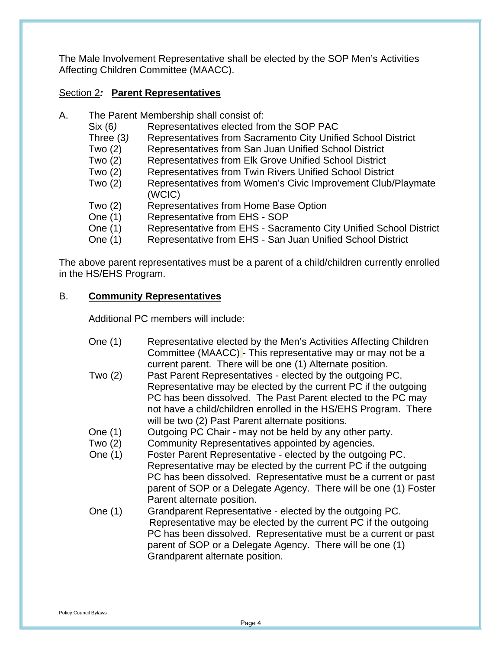The Male Involvement Representative shall be elected by the SOP Men's Activities Affecting Children Committee (MAACC).

## Section 2*:* **Parent Representatives**

- A. The Parent Membership shall consist of:
	- Six (6) Representatives elected from the SOP PAC
	- Three (3*)* Representatives from Sacramento City Unified School District
	- Two (2) Representatives from San Juan Unified School District
	- Two (2) Representative*s* from Elk Grove Unified School District
	- Two (2) Representatives from Twin Rivers Unified School District
	- Two (2) Representatives from Women's Civic Improvement Club/Playmate (WCIC)
	- Two (2) Representative*s* from Home Base Option
	- One (1) Representative from EHS SOP
	- One (1) Representative from EHS Sacramento City Unified School District
	- One (1) Representative from EHS San Juan Unified School District

The above parent representatives must be a parent of a child/children currently enrolled in the HS/EHS Program.

## B. **Community Representatives**

Additional PC members will include:

| One (1)        | Representative elected by the Men's Activities Affecting Children |
|----------------|-------------------------------------------------------------------|
|                | Committee (MAACC) - This representative may or may not be a       |
|                | current parent. There will be one (1) Alternate position.         |
| $T_{1110}$ (0) | Doet Darant Depressate this can place and by the outpoing DC      |

- Two (2) Past Parent Representatives elected by the outgoing PC. Representative may be elected by the current PC if the outgoing PC has been dissolved. The Past Parent elected to the PC may not have a child/children enrolled in the HS/EHS Program. There will be two (2) Past Parent alternate positions.
- One (1) Outgoing PC Chair may not be held by any other party.
- Two (2) Community Representatives appointed by agencies.
- One (1) Foster Parent Representative elected by the outgoing PC. Representative may be elected by the current PC if the outgoing PC has been dissolved. Representative must be a current or past parent of SOP or a Delegate Agency. There will be one (1) Foster Parent alternate position.
- One (1) Grandparent Representative elected by the outgoing PC. Representative may be elected by the current PC if the outgoing PC has been dissolved. Representative must be a current or past parent of SOP or a Delegate Agency. There will be one (1) Grandparent alternate position.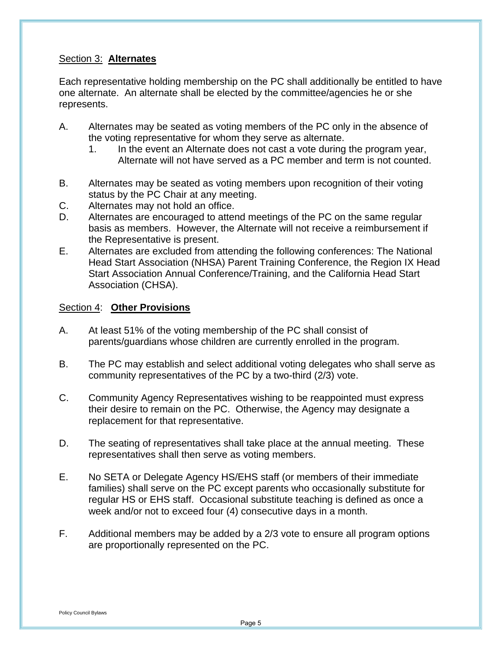## Section 3: **Alternates**

Each representative holding membership on the PC shall additionally be entitled to have one alternate. An alternate shall be elected by the committee/agencies he or she represents.

- A. Alternates may be seated as voting members of the PC only in the absence of the voting representative for whom they serve as alternate.
	- 1. In the event an Alternate does not cast a vote during the program year, Alternate will not have served as a PC member and term is not counted.
- B. Alternates may be seated as voting members upon recognition of their voting status by the PC Chair at any meeting.
- C. Alternates may not hold an office.
- D. Alternates are encouraged to attend meetings of the PC on the same regular basis as members. However, the Alternate will not receive a reimbursement if the Representative is present.
- E. Alternates are excluded from attending the following conferences: The National Head Start Association (NHSA) Parent Training Conference, the Region IX Head Start Association Annual Conference/Training, and the California Head Start Association (CHSA).

#### Section 4: **Other Provisions**

- A. At least 51% of the voting membership of the PC shall consist of parents/guardians whose children are currently enrolled in the program.
- B. The PC may establish and select additional voting delegates who shall serve as community representatives of the PC by a two-third (2/3) vote.
- C. Community Agency Representatives wishing to be reappointed must express their desire to remain on the PC. Otherwise, the Agency may designate a replacement for that representative.
- D. The seating of representatives shall take place at the annual meeting. These representatives shall then serve as voting members.
- E. No SETA or Delegate Agency HS/EHS staff (or members of their immediate families) shall serve on the PC except parents who occasionally substitute for regular HS or EHS staff. Occasional substitute teaching is defined as once a week and/or not to exceed four (4) consecutive days in a month.
- F. Additional members may be added by a 2/3 vote to ensure all program options are proportionally represented on the PC.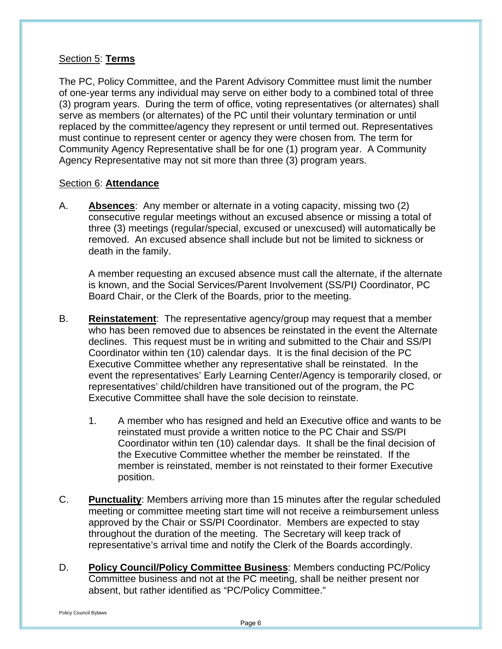## Section 5: **Terms**

The PC, Policy Committee, and the Parent Advisory Committee must limit the number of one-year terms any individual may serve on either body to a combined total of three (3) program years. During the term of office, voting representatives (or alternates) shall serve as members (or alternates) of the PC until their voluntary termination or until replaced by the committee/agency they represent or until termed out. Representatives must continue to represent center or agency they were chosen from*.* The term for Community Agency Representative shall be for one (1) program year. A Community Agency Representative may not sit more than three (3) program years.

### Section 6: **Attendance**

A. **Absences**: Any member or alternate in a voting capacity, missing two (2) consecutive regular meetings without an excused absence or missing a total of three (3) meetings (regular/special, excused or unexcused) will automatically be removed. An excused absence shall include but not be limited to sickness or death in the family.

A member requesting an excused absence must call the alternate, if the alternate is known, and the Social Services/Parent Involvement (SS/PI*)* Coordinator, PC Board Chair, or the Clerk of the Boards, prior to the meeting.

- B. **Reinstatement**: The representative agency/group may request that a member who has been removed due to absences be reinstated in the event the Alternate declines.This request must be in writing and submitted to the Chair and SS/PI Coordinator within ten (10) calendar days. It is the final decision of the PC Executive Committee whether any representative shall be reinstated. In the event the representatives' Early Learning Center/Agency is temporarily closed, or representatives' child/children have transitioned out of the program, the PC Executive Committee shall have the sole decision to reinstate.
	- 1. A member who has resigned and held an Executive office and wants to be reinstated must provide a written notice to the PC Chair and SS/PI Coordinator within ten (10) calendar days. It shall be the final decision of the Executive Committee whether the member be reinstated. If the member is reinstated, member is not reinstated to their former Executive position.
- C. **Punctuality**: Members arriving more than 15 minutes after the regular scheduled meeting or committee meeting start time will not receive a reimbursement unless approved by the Chair or SS/PI Coordinator. Members are expected to stay throughout the duration of the meeting. The Secretary will keep track of representative's arrival time and notify the Clerk of the Boards accordingly.
- D. **Policy Council/Policy Committee Business**: Members conducting PC/Policy Committee business and not at the PC meeting, shall be neither present nor absent, but rather identified as "PC/Policy Committee."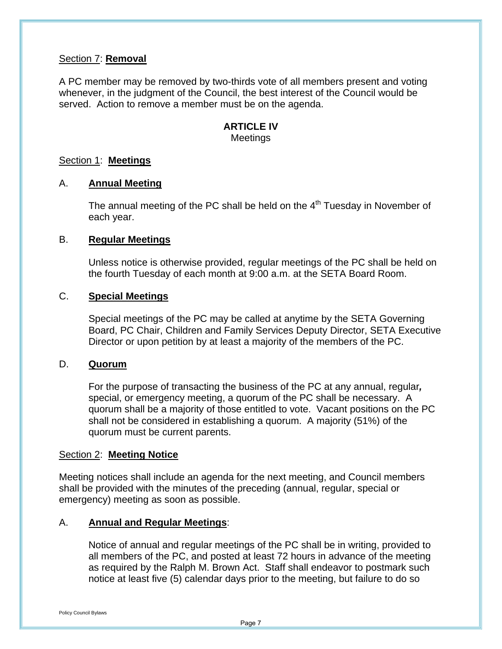#### Section 7: **Removal**

A PC member may be removed by two-thirds vote of all members present and voting whenever, in the judgment of the Council, the best interest of the Council would be served. Action to remove a member must be on the agenda.

#### **ARTICLE IV** Meetings

#### Section 1: **Meetings**

#### A. **Annual Meeting**

The annual meeting of the PC shall be held on the  $4<sup>th</sup>$  Tuesday in November of each year.

#### B. **Regular Meetings**

Unless notice is otherwise provided, regular meetings of the PC shall be held on the fourth Tuesday of each month at 9:00 a.m. at the SETA Board Room.

#### C. **Special Meetings**

Special meetings of the PC may be called at anytime by the SETA Governing Board, PC Chair, Children and Family Services Deputy Director, SETA Executive Director or upon petition by at least a majority of the members of the PC.

#### D. **Quorum**

For the purpose of transacting the business of the PC at any annual, regular*,* special, or emergency meeting, a quorum of the PC shall be necessary. A quorum shall be a majority of those entitled to vote. Vacant positions on the PC shall not be considered in establishing a quorum. A majority (51%) of the quorum must be current parents.

#### Section 2: **Meeting Notice**

Meeting notices shall include an agenda for the next meeting, and Council members shall be provided with the minutes of the preceding (annual, regular, special or emergency) meeting as soon as possible.

#### A. **Annual and Regular Meetings**:

Notice of annual and regular meetings of the PC shall be in writing, provided to all members of the PC, and posted at least 72 hours in advance of the meeting as required by the Ralph M. Brown Act. Staff shall endeavor to postmark such notice at least five (5) calendar days prior to the meeting, but failure to do so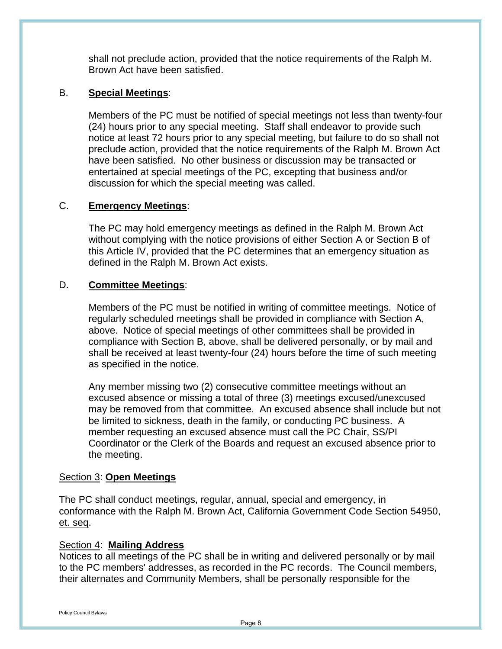shall not preclude action, provided that the notice requirements of the Ralph M. Brown Act have been satisfied.

## B. **Special Meetings**:

Members of the PC must be notified of special meetings not less than twenty-four (24) hours prior to any special meeting. Staff shall endeavor to provide such notice at least 72 hours prior to any special meeting, but failure to do so shall not preclude action, provided that the notice requirements of the Ralph M. Brown Act have been satisfied. No other business or discussion may be transacted or entertained at special meetings of the PC, excepting that business and/or discussion for which the special meeting was called.

### C. **Emergency Meetings**:

The PC may hold emergency meetings as defined in the Ralph M. Brown Act without complying with the notice provisions of either Section A or Section B of this Article IV, provided that the PC determines that an emergency situation as defined in the Ralph M. Brown Act exists.

#### D. **Committee Meetings**:

Members of the PC must be notified in writing of committee meetings. Notice of regularly scheduled meetings shall be provided in compliance with Section A, above. Notice of special meetings of other committees shall be provided in compliance with Section B, above, shall be delivered personally, or by mail and shall be received at least twenty-four (24) hours before the time of such meeting as specified in the notice.

Any member missing two (2) consecutive committee meetings without an excused absence or missing a total of three (3) meetings excused/unexcused may be removed from that committee. An excused absence shall include but not be limited to sickness, death in the family, or conducting PC business. A member requesting an excused absence must call the PC Chair, SS/PI Coordinator or the Clerk of the Boards and request an excused absence prior to the meeting.

#### Section 3: **Open Meetings**

The PC shall conduct meetings, regular, annual, special and emergency, in conformance with the Ralph M. Brown Act, California Government Code Section 54950, et. seq.

#### Section 4: **Mailing Address**

Notices to all meetings of the PC shall be in writing and delivered personally or by mail to the PC members' addresses, as recorded in the PC records. The Council members, their alternates and Community Members, shall be personally responsible for the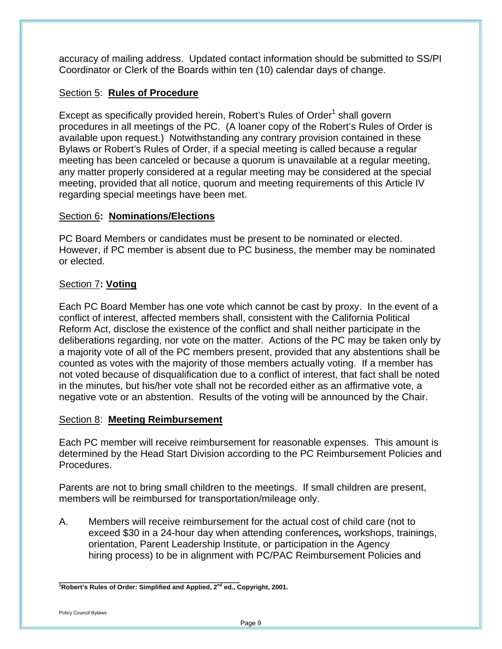accuracy of mailing address. Updated contact information should be submitted to SS/PI Coordinator or Clerk of the Boards within ten (10) calendar days of change.

## Section 5: **Rules of Procedure**

Except as specifically provided herein, Robert's Rules of Order<sup>1</sup> shall govern procedures in all meetings of the PC. (A loaner copy of the Robert's Rules of Order is available upon request.) Notwithstanding any contrary provision contained in these Bylaws or Robert's Rules of Order, if a special meeting is called because a regular meeting has been canceled or because a quorum is unavailable at a regular meeting, any matter properly considered at a regular meeting may be considered at the special meeting, provided that all notice, quorum and meeting requirements of this Article IV regarding special meetings have been met.

## Section 6**:****Nominations/Elections**

PC Board Members or candidates must be present to be nominated or elected. However, if PC member is absent due to PC business, the member may be nominated or elected.

## Section 7**: Voting**

Each PC Board Member has one vote which cannot be cast by proxy. In the event of a conflict of interest, affected members shall, consistent with the California Political Reform Act, disclose the existence of the conflict and shall neither participate in the deliberations regarding, nor vote on the matter. Actions of the PC may be taken only by a majority vote of all of the PC members present, provided that any abstentions shall be counted as votes with the majority of those members actually voting. If a member has not voted because of disqualification due to a conflict of interest, that fact shall be noted in the minutes, but his/her vote shall not be recorded either as an affirmative vote, a negative vote or an abstention. Results of the voting will be announced by the Chair.

## Section 8: **Meeting Reimbursement**

Each PC member will receive reimbursement for reasonable expenses. This amount is determined by the Head Start Division according to the PC Reimbursement Policies and Procedures.

Parents are not to bring small children to the meetings. If small children are present, members will be reimbursed for transportation/mileage only.

A. Members will receive reimbursement for the actual cost of child care (not to exceed \$30 in a 24-hour day when attending conferences*,* workshops, trainings, orientation, Parent Leadership Institute, or participation in the Agency hiring process) to be in alignment with PC/PAC Reimbursement Policies and

<sup>&</sup>lt;sup>-</sup><br><sup>1</sup>Robert's Rules of Order: Simplified and Applied, 2<sup>nd</sup> ed., Copyright, 2001.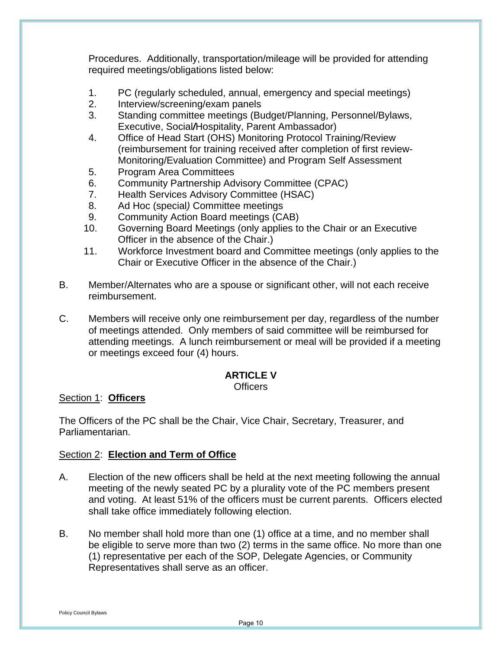Procedures. Additionally, transportation/mileage will be provided for attending required meetings/obligations listed below:

- 1. PC (regularly scheduled, annual, emergency and special meetings)
- 2. Interview/screening/exam panels
- 3. Standing committee meetings (Budget/Planning, Personnel/Bylaws, Executive, Social*/*Hospitality, Parent Ambassador)
- 4. Office of Head Start (OHS) Monitoring Protocol Training/Review (reimbursement for training received after completion of first review-Monitoring/Evaluation Committee) and Program Self Assessment
- 5. Program Area Committees
- 6. Community Partnership Advisory Committee (CPAC)
- 7. Health Services Advisory Committee (HSAC)
- 8. Ad Hoc (special*)* Committee meetings
- 9. Community Action Board meetings (CAB)
- 10. Governing Board Meetings (only applies to the Chair or an Executive Officer in the absence of the Chair.)
- 11. Workforce Investment board and Committee meetings (only applies to the Chair or Executive Officer in the absence of the Chair.)
- B. Member/Alternates who are a spouse or significant other, will not each receive reimbursement.
- C. Members will receive only one reimbursement per day, regardless of the number of meetings attended. Only members of said committee will be reimbursed for attending meetings. A lunch reimbursement or meal will be provided if a meeting or meetings exceed four (4) hours.

## **ARTICLE V**

#### **Officers**

## Section 1: **Officers**

The Officers of the PC shall be the Chair, Vice Chair, Secretary, Treasurer, and Parliamentarian.

## Section 2: **Election and Term of Office**

- A. Election of the new officers shall be held at the next meeting following the annual meeting of the newly seated PC by a plurality vote of the PC members present and voting. At least 51% of the officers must be current parents. Officers elected shall take office immediately following election.
- B. No member shall hold more than one (1) office at a time, and no member shall be eligible to serve more than two (2) terms in the same office. No more than one (1) representative per each of the SOP, Delegate Agencies, or Community Representatives shall serve as an officer.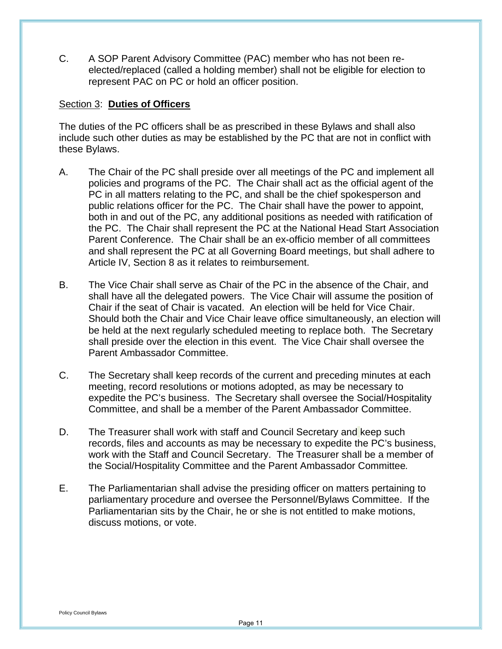C. A SOP Parent Advisory Committee (PAC) member who has not been reelected/replaced (called a holding member) shall not be eligible for election to represent PAC on PC or hold an officer position.

#### Section 3: **Duties of Officers**

The duties of the PC officers shall be as prescribed in these Bylaws and shall also include such other duties as may be established by the PC that are not in conflict with these Bylaws.

- A. The Chair of the PC shall preside over all meetings of the PC and implement all policies and programs of the PC. The Chair shall act as the official agent of the PC in all matters relating to the PC, and shall be the chief spokesperson and public relations officer for the PC. The Chair shall have the power to appoint, both in and out of the PC, any additional positions as needed with ratification of the PC. The Chair shall represent the PC at the National Head Start Association Parent Conference. The Chair shall be an ex-officio member of all committees and shall represent the PC at all Governing Board meetings, but shall adhere to Article IV, Section 8 as it relates to reimbursement.
- B. The Vice Chair shall serve as Chair of the PC in the absence of the Chair, and shall have all the delegated powers. The Vice Chair will assume the position of Chair if the seat of Chair is vacated. An election will be held for Vice Chair. Should both the Chair and Vice Chair leave office simultaneously, an election will be held at the next regularly scheduled meeting to replace both. The Secretary shall preside over the election in this event. The Vice Chair shall oversee the Parent Ambassador Committee.
- C. The Secretary shall keep records of the current and preceding minutes at each meeting, record resolutions or motions adopted, as may be necessary to expedite the PC's business. The Secretary shall oversee the Social/Hospitality Committee, and shall be a member of the Parent Ambassador Committee.
- D. The Treasurer shall work with staff and Council Secretary and keep such records, files and accounts as may be necessary to expedite the PC's business, work with the Staff and Council Secretary. The Treasurer shall be a member of the Social/Hospitality Committee and the Parent Ambassador Committee*.*
- E. The Parliamentarian shall advise the presiding officer on matters pertaining to parliamentary procedure and oversee the Personnel/Bylaws Committee. If the Parliamentarian sits by the Chair, he or she is not entitled to make motions, discuss motions, or vote.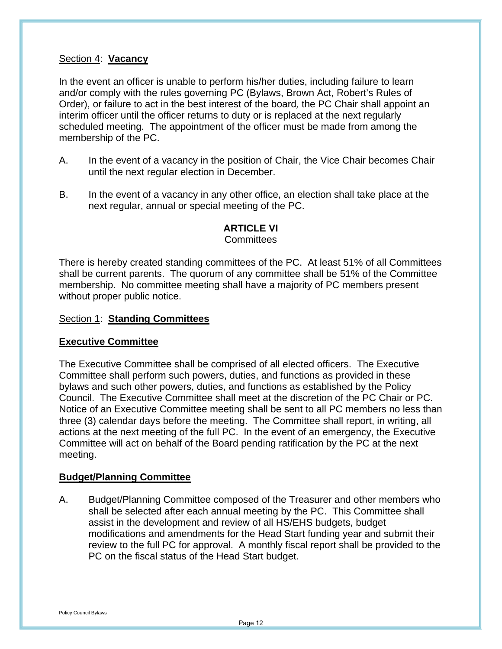#### Section 4: **Vacancy**

In the event an officer is unable to perform his/her duties, including failure to learn and/or comply with the rules governing PC (Bylaws, Brown Act, Robert's Rules of Order), or failure to act in the best interest of the board*,* the PC Chair shall appoint an interim officer until the officer returns to duty or is replaced at the next regularly scheduled meeting. The appointment of the officer must be made from among the membership of the PC.

- A. In the event of a vacancy in the position of Chair, the Vice Chair becomes Chair until the next regular election in December.
- B. In the event of a vacancy in any other office, an election shall take place at the next regular, annual or special meeting of the PC.

## **ARTICLE VI**

### **Committees**

There is hereby created standing committees of the PC. At least 51% of all Committees shall be current parents. The quorum of any committee shall be 51% of the Committee membership. No committee meeting shall have a majority of PC members present without proper public notice.

#### Section 1: **Standing Committees**

#### **Executive Committee**

The Executive Committee shall be comprised of all elected officers. The Executive Committee shall perform such powers, duties, and functions as provided in these bylaws and such other powers, duties, and functions as established by the Policy Council. The Executive Committee shall meet at the discretion of the PC Chair or PC. Notice of an Executive Committee meeting shall be sent to all PC members no less than three (3) calendar days before the meeting. The Committee shall report, in writing, all actions at the next meeting of the full PC. In the event of an emergency, the Executive Committee will act on behalf of the Board pending ratification by the PC at the next meeting.

#### **Budget/Planning Committee**

A. Budget/Planning Committee composed of the Treasurer and other members who shall be selected after each annual meeting by the PC. This Committee shall assist in the development and review of all HS/EHS budgets, budget modifications and amendments for the Head Start funding year and submit their review to the full PC for approval. A monthly fiscal report shall be provided to the PC on the fiscal status of the Head Start budget.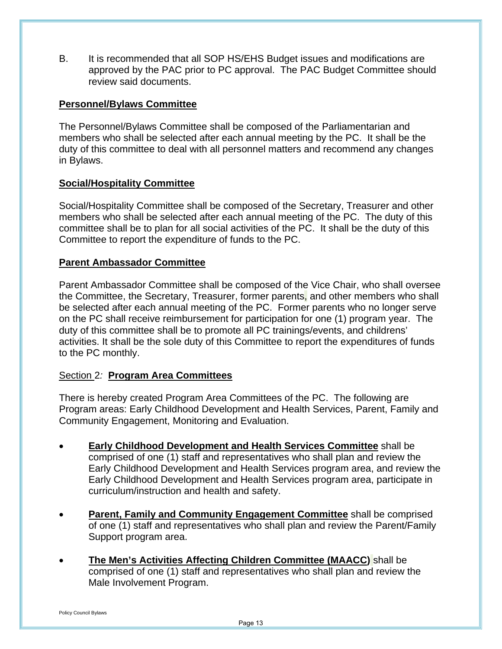B. It is recommended that all SOP HS/EHS Budget issues and modifications are approved by the PAC prior to PC approval. The PAC Budget Committee should review said documents.

## **Personnel/Bylaws Committee**

The Personnel/Bylaws Committee shall be composed of the Parliamentarian and members who shall be selected after each annual meeting by the PC. It shall be the duty of this committee to deal with all personnel matters and recommend any changes in Bylaws.

## **Social/Hospitality Committee**

Social/Hospitality Committee shall be composed of the Secretary, Treasurer and other members who shall be selected after each annual meeting of the PC. The duty of this committee shall be to plan for all social activities of the PC. It shall be the duty of this Committee to report the expenditure of funds to the PC.

## **Parent Ambassador Committee**

Parent Ambassador Committee shall be composed of the Vice Chair, who shall oversee the Committee, the Secretary, Treasurer, former parents, and other members who shall be selected after each annual meeting of the PC. Former parents who no longer serve on the PC shall receive reimbursement for participation for one (1) program year. The duty of this committee shall be to promote all PC trainings/events, and childrens' activities. It shall be the sole duty of this Committee to report the expenditures of funds to the PC monthly.

## Section 2*:* **Program Area Committees**

There is hereby created Program Area Committees of the PC. The following are Program areas: Early Childhood Development and Health Services, Parent, Family and Community Engagement, Monitoring and Evaluation.

- **Early Childhood Development and Health Services Committee** shall be comprised of one (1) staff and representatives who shall plan and review the Early Childhood Development and Health Services program area, and review the Early Childhood Development and Health Services program area, participate in curriculum/instruction and health and safety.
- **Parent, Family and Community Engagement Committee** shall be comprised of one (1) staff and representatives who shall plan and review the Parent/Family Support program area.
- **The Men's Activities Affecting Children Committee (MAACC)** shall be comprised of one (1) staff and representatives who shall plan and review the Male Involvement Program.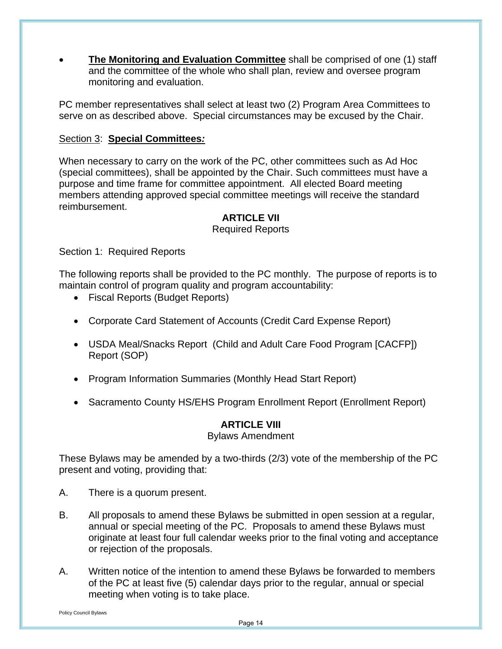**The Monitoring and Evaluation Committee** shall be comprised of one (1) staff and the committee of the whole who shall plan, review and oversee program monitoring and evaluation.

PC member representatives shall select at least two (2) Program Area Committees to serve on as described above. Special circumstances may be excused by the Chair.

## Section 3: **Special Committees***:*

When necessary to carry on the work of the PC, other committees such as Ad Hoc (special committees), shall be appointed by the Chair. Such committee*s* must have a purpose and time frame for committee appointment. All elected Board meeting members attending approved special committee meetings will receive the standard reimbursement.

## **ARTICLE VII**

### Required Reports

Section 1: Required Reports

The following reports shall be provided to the PC monthly. The purpose of reports is to maintain control of program quality and program accountability:

- Fiscal Reports (Budget Reports)
- Corporate Card Statement of Accounts (Credit Card Expense Report)
- USDA Meal/Snacks Report (Child and Adult Care Food Program [CACFP]) Report (SOP)
- Program Information Summaries (Monthly Head Start Report)
- Sacramento County HS/EHS Program Enrollment Report (Enrollment Report)

## **ARTICLE VIII**

Bylaws Amendment

These Bylaws may be amended by a two-thirds (2/3) vote of the membership of the PC present and voting, providing that:

- A. There is a quorum present.
- B. All proposals to amend these Bylaws be submitted in open session at a regular, annual or special meeting of the PC. Proposals to amend these Bylaws must originate at least four full calendar weeks prior to the final voting and acceptance or rejection of the proposals.
- A. Written notice of the intention to amend these Bylaws be forwarded to members of the PC at least five (5) calendar days prior to the regular, annual or special meeting when voting is to take place.